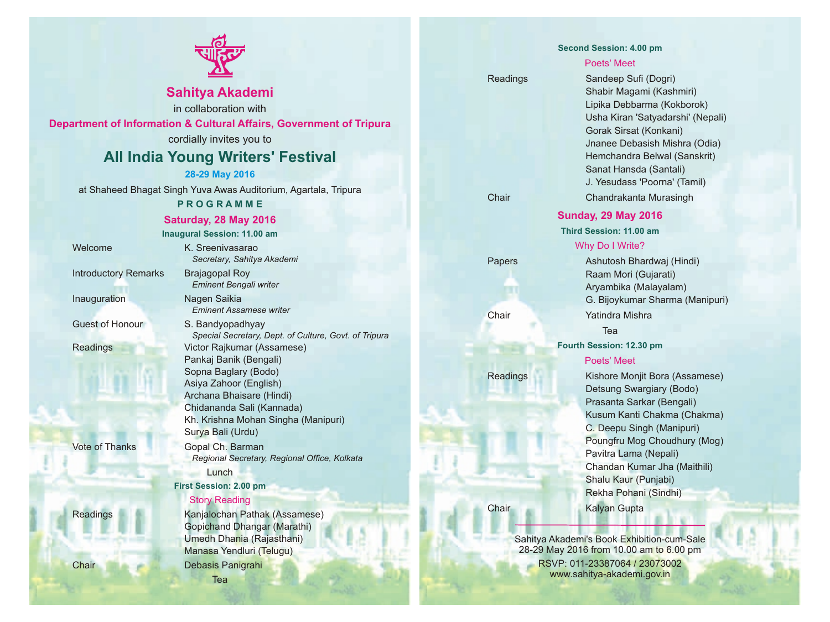

## **Sahitya Akademi**

in collaboration with

**Department of Information & Cultural Affairs, Government of Tripura**

cordially invites you to

## **All India Young Writers' Festival**

#### **28-29 May 2016**

at Shaheed Bhagat Singh Yuva Awas Auditorium, Agartala, Tripura

#### **P R O G R A M M E**

#### **Saturday, 28 May 2016**

**Inaugural Session: 11.00 am**

Introductory Remarks Brajagopal Roy

Story Reading Welcome K. Sreenivasarao *Secretary, Sahitya Akademi Eminent Bengali writer* Inauguration Nagen Saikia *Eminent Assamese writer* Guest of Honour S. Bandyopadhyay *Special Secretary, Dept. of Culture, Govt. of Tripura* Readings Victor Rajkumar (Assamese) Pankaj Banik (Bengali) Sopna Baglary (Bodo) Asiya Zahoor (English) Archana Bhaisare (Hindi) Chidananda Sali (Kannada) Kh. Krishna Mohan Singha (Manipuri) Surya Bali (Urdu) Vote of Thanks **Gopal Ch. Barman** *Regional Secretary, Regional Office, Kolkata* Lunch **First Session: 2.00 pm**

Readings Kanjalochan Pathak (Assamese) Gopichand Dhangar (Marathi) Umedh Dhania (Rajasthani) Manasa Yendluri (Telugu) Chair Debasis Panigrahi Tea

**Second Session: 4.00 pm**

#### Poets' Meet

# Readings Sandeep Sufi (Dogri)

Shabir Magami (Kashmiri) Lipika Debbarma (Kokborok) Usha Kiran 'Satyadarshi' (Nepali) Gorak Sirsat (Konkani) Jnanee Debasish Mishra (Odia) Hemchandra Belwal (Sanskrit) Sanat Hansda (Santali) J. Yesudass 'Poorna' (Tamil) Chair Chandrakanta Murasingh

#### **Sunday, 29 May 2016**

**Third Session: 11.00 am**

#### Why Do I Write?

Papers Ashutosh Bhardwaj (Hindi) Raam Mori (Gujarati) Aryambika (Malayalam) G. Bijoykumar Sharma (Manipuri) Chair Yatindra Mishra

Tea

**Fourth Session: 12.30 pm**

#### Poets' Meet

Readings Kishore Monjit Bora (Assamese) Detsung Swargiary (Bodo) Prasanta Sarkar (Bengali) Kusum Kanti Chakma (Chakma) C. Deepu Singh (Manipuri) Poungfru Mog Choudhury (Mog) Pavitra Lama (Nepali) Chandan Kumar Jha (Maithili) Shalu Kaur (Punjabi) Rekha Pohani (Sindhi)

Chair Kalyan Gupta

Sahitya Akademi's Book Exhibition-cum-Sale 28-29 May 2016 from 10.00 am to 6.00 pm RSVP: 011-23387064 / 23073002 www.sahitya-akademi.gov.in